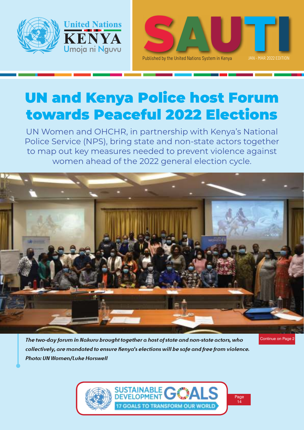



# UN and Kenya Police host Forum towards Peaceful 2022 Elections

UN Women and OHCHR, in partnership with Kenya's National Police Service (NPS), bring state and non-state actors together to map out key measures needed to prevent violence against women ahead of the 2022 general election cycle.



*The two-day forum in Nakuru brought together a host of state and non-state actors, who collectively, are mandated to ensure Kenya's elections will be safe and free from violence. Photo: UN Women/Luke Horswell*

Continue on Page 2

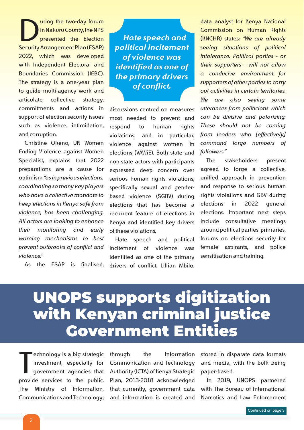Uning the two-day forum<br>
in Nakuru County, the NPS<br>
Security Arrangement Plan (ESAP) uring the two-day forum in Nakuru County, the NPS presented the Election 2022, which was developed with Independent Electoral and Boundaries Commission (IEBC). The strategy is a one-year plan to guide multi-agency work and articulate collective strategy, commitments and actions in support of election security issues such as violence, intimidation, and corruption.

Christine Okeno, UN Women Ending Violence against Women Specialist, explains that 2022 preparations are a cause for optimism *"as in previous elections, coordinating so many key players who have a collective mandate to keep elections in Kenya safe from violence, has been challenging. All actors are looking to enhance their monitoring and early warning mechanisms to best prevent outbreaks of conflict and violence."*

As the ESAP is finalised,

*Hate speech and political incitement of violence was identified as one of the primary drivers of conflict.*

discussions centred on measures most needed to prevent and respond to human rights violations, and in particular, violence against women in elections (VAWiE). Both state and non-state actors with participants expressed deep concern over serious human rights violations, specifically sexual and genderbased violence (SGBV) during elections that has become a recurrent feature of elections in Kenya and identified key drivers of these violations.

Hate speech and political incitement of violence was identified as one of the primary drivers of conflict. Lillian Mbilo,

data analyst for Kenya National Commission on Human Rights (KNCHR) states: *"We are already seeing situations of political intolerance. Political parties - or their supporters - will not allow a conducive environment for supporters of other parties to carry out activities in certain territories. We are also seeing some utterances from politicians which can be divisive and polarizing. These should not be coming from leaders who [effectively] command large numbers of followers."*

The stakeholders present agreed to forge a collective, unified approach in prevention and response to serious human rights violations and GBV during elections in 2022 general elections. Important next steps include consultative meetings around political parties' primaries, forums on elections security for female aspirants, and police sensitisation and training.

# UNOPS supports digitization with Kenyan criminal justice Government Entities

echnology is a big strategic<br>investment, especially for<br>government agencies that<br>provide services to the public. echnology is a big strategic investment, especially for government agencies that The Ministry of Information, Communications and Technology;

through the Information Communication and Technology Authority (ICTA) of Kenya Strategic Plan, 2013-2018 acknowledged that currently, government data and information is created and

stored in disparate data formats and media, with the bulk being paper-based.

In 2019, UNOPS partnered with The Bureau of International Narcotics and Law Enforcement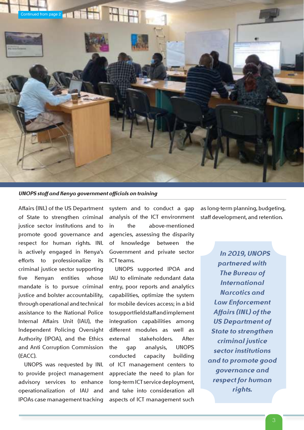

*UNOPS staff and Kenya government officials on training*

Affairs (INL) of the US Department of State to strengthen criminal justice sector institutions and to promote good governance and respect for human rights. INL is actively engaged in Kenya's efforts to professionalize its criminal justice sector supporting five Kenyan entities whose mandate is to pursue criminal justice and bolster accountability, through operational and technical assistance to the National Police Internal Affairs Unit (IAU), the Independent Policing Oversight Authority (IPOA), and the Ethics and Anti Corruption Commission (EACC).

UNOPS was requested by INL to provide project management advisory services to enhance operationalization of IAU and IPOAs case management tracking

system and to conduct a gap analysis of the ICT environment in the above-mentioned agencies, assessing the disparity of knowledge between the Government and private sector ICT teams.

UNOPS supported IPOA and IAU to eliminate redundant data entry, poor reports and analytics capabilities, optimize the system for mobile devices access; in a bid to support field staff and implement integration capabilities among different modules as well as external stakeholders. After the gap analysis, UNOPS conducted capacity building of ICT management centers to appreciate the need to plan for long-term ICT service deployment, and take into consideration all aspects of ICT management such

as long-term planning, budgeting, staff development, and retention.

*In 2019, UNOPS partnered with The Bureau of International Narcotics and Law Enforcement Affairs (INL) of the US Department of State to strengthen criminal justice sector institutions and to promote good governance and respect for human rights.*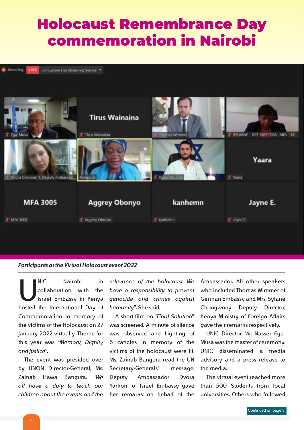## Holocaust Remembrance Day commemoration in Nairobi

Recording on Custom Live Streaming Service LIVE



#### *Participants at the Virtual Holocaust event 2022*

NIC Nairobi in<br>
collaboration with the<br>
Israel Embassy in Kenya<br>
hosted the International Day of NIC Nairobi in collaboration with the Israel Embassy in Kenya Commemoration in memory of the victims of the Holocaust on 27 January 2022 virtually. Theme for this year was *"Memory, Dignity and Justice".*

The event was presided over by UNON Director-General, Ms. Zainab Hawa Bangura. *"We all have a duty to teach our children about the events and the* 

*relevance of the holocaust. We have a responsibility to prevent genocide and crimes against humanity"*. She said.

A short film on *"Final Solution"*  was screened. A minute of silence was observed and Lighting of 6 candles in memory of the victims of the holocaust were lit. Ms. Zainab Bangura read the UN Secretary-Generals' message. Deputy Ambassador Dvora Yarkoni of Israel Embassy gave her remarks on behalf of the Ambassador. All other speakers who included Thomas Wimmer of German Embassy and Mrs. Sylane Chongwony Deputy Director, Kenya Ministry of Foreign Affairs gave their remarks respectively.

UNIC Director Mr. Nasser Ega-Musa was the master of ceremony. UNIC disseminated a media advisory and a press release to the media.

The virtual event reached more than 500 Students from local universities. Others who followed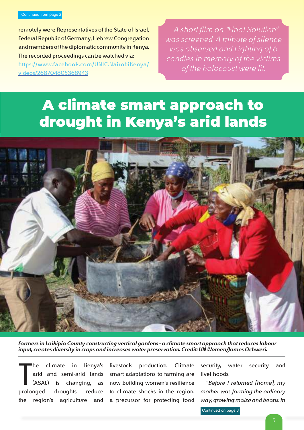#### Continued from page 2

remotely were Representatives of the State of Israel, Federal Republic of Germany, Hebrew Congregation and members of the diplomatic community in Kenya. The recorded proceedings can be watched via: https://www.facebook.com/UNIC.NairobiKenya/ videos/268704805368943

*A short film on "Final Solution" was screened. A minute of silence was observed and Lighting of 6 candles in memory of the victims of the holocaust were lit.*

## A climate smart approach to drought in Kenya's arid lands



*Farmers in Laikipia County constructing vertical gardens – a climate smart approach that reduces labour input, creates diversity in crops and increases water preservation. Credit: UN Women/James Ochweri.*

T<br>Prolei climate in Kenya's arid and semi-arid lands (ASAL) is changing, as prolonged droughts reduce the region's agriculture and

livestock production. Climate smart adaptations to farming are now building women's resilience to climate shocks in the region, a precursor for protecting food security, water security and livelihoods.

"*Before I returned [home], my mother was farming the ordinary way, growing maize and beans. In* 

Continued on page 6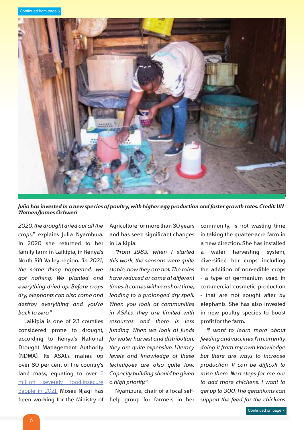

*Julia has invested in a new species of poultry, with higher egg production and faster growth rates. Credit: UN Women/James Ochweri*

*2020, the drought dried out all the crops,"* explains Julia Nyambura. In 2020 she returned to her family farm in Laikipia, in Kenya's North Rift Valley region. *"In 2021, the same thing happened, we got nothing. We planted and everything dried up. Before crops dry, elephants can also come and destroy everything and you're back to zero."*

Laikipia is one of 23 counties considered prone to drought, according to Kenya's National Drought Management Authority (NDMA). Its ASALs makes up over 80 per cent of the country's land mass, equating to over 2 million severely food-insecure people in 2021. Moses Njagi has been working for the Ministry of

Agriculture for more than 30 years and has seen significant changes in Laikipia.

*"From 1983, when I started this work, the seasons were quite stable, now they are not. The rains have reduced or come at different times. It comes within a short time, leading to a prolonged dry spell. When you look at communities in ASALs, they are limited with resources and there is less funding. When we look at funds for water harvest and distribution, they are quite expensive. Literacy levels and knowledge of these techniques are also quite low. Capacity building should be given a high priority."*

Nyambura, chair of a local selfhelp group for farmers in her in taking the quarter-acre farm in a new direction. She has installed a water harvesting system, diversified her crops including the addition of non-edible crops – a type of germanium used in commercial cosmetic production – that are not sought after by elephants. She has also invested in new poultry species to boost profit for the farm.

community, is not wasting time

*"I want to learn more about feeding and vaccines. I'm currently doing it from my own knowledge but there are ways to increase production. It can be difficult to raise them. Next steps for me are to add more chickens. I want to get up to 300. The geraniums can support the feed for the chickens*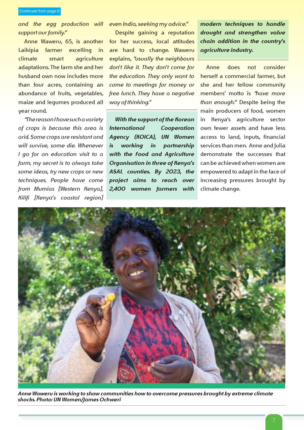Continued from page 6

*and the egg production will support our family."*

Anne Waweru, 65, is another Laikipia farmer excelling in climate smart agriculture adaptations. The farm she and her husband own now includes more than four acres, containing an abundance of fruits, vegetables, maize and legumes produced all year round.

*"The reason I have such a variety of crops is because this area is arid. Some crops are resistant and will survive, some die. Whenever I go for an education visit to a farm, my secret is to always take some ideas, try new crops or new techniques. People have come from Mumias [Western Kenya], Kilifi [Kenya's coastal region]*  *even India, seeking my advice."*

Despite gaining a reputation for her success, local attitudes are hard to change. Waweru explains, *"usually the neighbours don't like it. They don't come for the education. They only want to come to meetings for money or free lunch. They have a negative way of thinking."*

*With the support of the Korean International Cooperation Agency (KOICA), UN Women is working in partnership with the Food and Agriculture Organisation in three of Kenya's ASAL counties. By 2023, the project aims to reach over 2,400 women farmers with*  *modern techniques to handle drought and strengthen value chain addition in the country's agriculture industry.*

Anne does not consider herself a commercial farmer, but she and her fellow community members' motto is *"have more than enough."* Despite being the main producers of food, women in Kenya's agriculture sector own fewer assets and have less access to land, inputs, financial services than men. Anne and Julia demonstrate the successes that can be achieved when women are empowered to adapt in the face of increasing pressures brought by climate change.



*Anne Waweru is working to show communities how to overcome pressures brought by extreme climate shocks. Photo: UN Women/James Ochweri*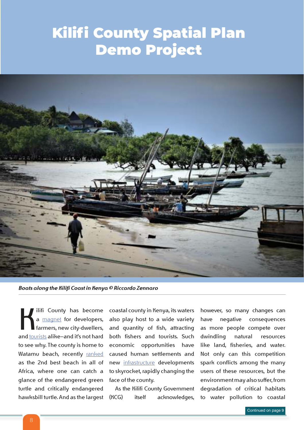## Kilifi County Spatial Plan Demo Project



*Boats along the Kilifi Coast in Kenya © Riccardo Zennaro*

ilifi County has become<br>
a magnet for developers,<br>
farmers, new city-dwellers,<br>
and <u>tourists</u> alike—and it's not hard ilifi County has become a **magnet** for developers, farmers, new city-dwellers, to see why. The county is home to Watamu beach, recently ranked as the 2nd best beach in all of Africa, where one can catch a glance of the endangered green turtle and critically endangered hawksbill turtle. And as the largest

coastal county in Kenya, its waters also play host to a wide variety and quantity of fish, attracting both fishers and tourists. Such economic opportunities have caused human settlements and new infrastructure developments to skyrocket, rapidly changing the face of the county.

As the Kilifi County Government (KCG) itself acknowledges,

however, so many changes can have negative consequences as more people compete over dwindling natural resources like land, fisheries, and water. Not only can this competition spark conflicts among the many users of these resources, but the environment may also suffer, from degradation of critical habitats to water pollution to coastal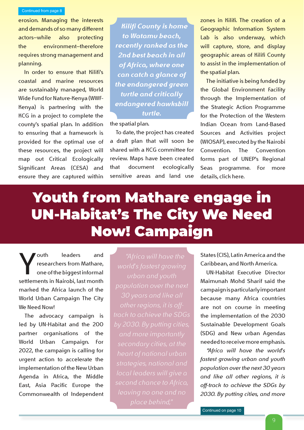erosion. Managing the interests and demands of so many different actors—while also protecting the environment—therefore requires strong management and planning.

In order to ensure that Kilifi's coastal and marine resources are sustainably managed, World Wide Fund for Nature-Kenya (WWF-Kenya) is partnering with the KCG in a project to complete the county's spatial plan. In addition to ensuring that a framework is provided for the optimal use of these resources, the project will map out Critical Ecologically Significant Areas (CESA) and ensure they are captured within

*Kilifi County is home to Watamu beach, recently ranked as the 2nd best beach in all of Africa, where one can catch a glance of the endangered green turtle and critically endangered hawksbill turtle.*

the spatial plan.

To date, the project has created a draft plan that will soon be shared with a KCG committee for review. Maps have been created that document ecologically sensitive areas and land use

zones in Kilifi. The creation of a Geographic Information System Lab is also underway, which will capture, store, and display geographic areas of Kilifi County to assist in the implementation of the spatial plan.

The initiative is being funded by the Global Environment Facility through the Implementation of the Strategic Action Programme for the Protection of the Western Indian Ocean from Land-Based Sources and Activities project (WIOSAP), executed by the Nairobi Convention. The Convention forms part of UNEP's Regional Seas programme. For more details, click here.

## Youth from Mathare engage in UN-Habitat's The City We Need Now! Campaign

**Solution State State State State State State State State State State State State State State State State State State State State State State State State State State State State State State State State State State State St** outh leaders and researchers from Mathare, one of the biggest informal marked the Africa launch of the World Urban Campaign The City We Need Now!

The advocacy campaign is led by UN-Habitat and the 200 partner organisations of the World Urban Campaign. For 2022, the campaign is calling for urgent action to accelerate the implementation of the New Urban Agenda in Africa, the Middle East, Asia Pacific Europe the Commonwealth of Independent *"Africa will have the* 

States (CIS), Latin America and the Caribbean, and North America.

UN-Habitat Executive Director Maimunah Mohd Sharif said the campaign is particularly important because many Africa countries are not on course in meeting the implementation of the 2030 Sustainable Development Goals (SDG) and New urban Agendas needed to receive more emphasis.

*"Africa will have the world's fastest growing urban and youth population over the next 30 years and like all other regions, it is off-track to achieve the SDGs by 2030. By putting cities, and more*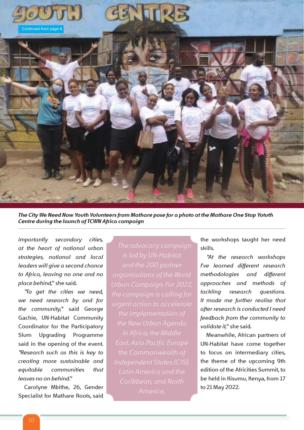

*The City We Need Now Youth Volunteers from Mathare pose for a photo at the Mathare One Stop Yotuth Centre during the launch of TCWN Africa campaign*

*importantly secondary cities, at the heart of national urban strategies, national and local leaders will give a second chance to Africa, leaving no one and no place behind,"* she said.

*''To get the cities we need, we need research by and for the community,''* said George Gachie, UN-Habitat Community Coordinator for the Participatory Slum Upgrading Programme said in the opening of the event. *''Research such as this is key to creating more sustainable and equitable communities that leaves no on behind.''*

Carolyne Mbithe, 26, Gender Specialist for Mathare Roots, said

*in Africa, the Middle Latin America and the America.*

the workshops taught her need skills.

*''At the research workshops I've learned different research methodologies and different approaches and methods of tackling research questions… It made me further realise that after research is conducted I need feedback from the community to validate it,''* she said.

Meanwhile, African partners of UN-Habitat have come together to focus on intermediary cities, the theme of the upcoming 9th edition of the Africities Summit, to be held in Kisumu, Kenya, from 17 to 21 May 2022.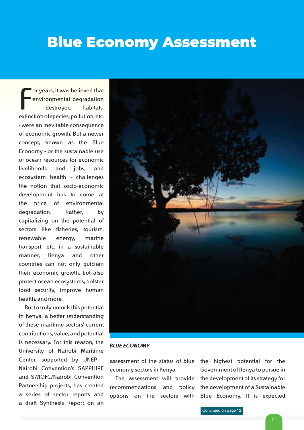## Blue Economy Assessment

For years, it was believed that<br>
environmental degradation<br>
- destroyed habitats,<br>
extinction of species, pollution, etc. or years, it was believed that environmental degradation destroyed habitats, – were an inevitable consequence of economic growth. But a newer concept, known as the Blue Economy – or the sustainable use of ocean resources for economic livelihoods and jobs, and ecosystem health – challenges the notion that socio-economic development has to come at the price of environmental degradation. Rather, by capitalizing on the potential of sectors like fisheries, tourism, renewable energy, marine transport, etc. in a sustainable manner, Kenya and other countries can not only quicken their economic growth, but also protect ocean ecosystems, bolster food security, improve human health, and more.

But to truly unlock this potential in Kenya, a better understanding of these maritime sectors' current contributions, value, and potential is necessary. For this reason, the University of Nairobi Maritime Center, supported by UNEP - Nairobi Convention's SAPPHIRE and SWIOFC/Nairobi Convention Partnership projects, has created a series of sector reports and a draft Synthesis Report on an



#### *BLUE ECONOMY*

assessment of the status of blue economy sectors in Kenya.

The assessment will provide recommendations and policy options on the sectors with

the highest potential for the Government of Kenya to pursue in the development of its strategy for the development of a Sustainable Blue Economy. It is expected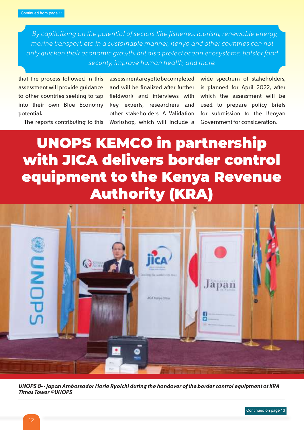*By capitalizing on the potential of sectors like fisheries, tourism, renewable energy, marine transport, etc. in a sustainable manner, Kenya and other countries can not only quicken their economic growth, but also protect ocean ecosystems, bolster food security, improve human health, and more.*

that the process followed in this assessment will provide guidance to other countries seeking to tap into their own Blue Economy potential.

The reports contributing to this

assessmentare yet to be completed and will be finalized after further fieldwork and interviews with key experts, researchers and other stakeholders. A Validation Workshop, which will include a

wide spectrum of stakeholders, is planned for April 2022, after which the assessment will be used to prepare policy briefs for submission to the Kenyan Government for consideration.

## UNOPS KEMCO in partnership with JICA delivers border control equipment to the Kenya Revenue Authority (KRA)



*UNOPS 8- - Japan Ambassador Horie Ryoichi during the handover of the border control equipment at KRA Times Tower ©UNOPS*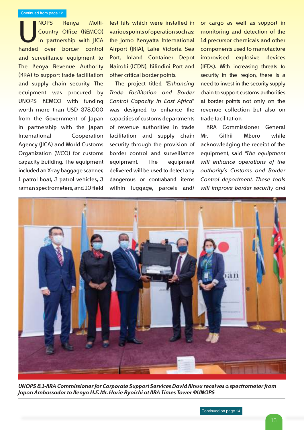NOPS Kenya Multi-<br>Country Office (KEMCO)<br>in partnership with JICA<br>handed over border control NOPS Kenya Multi-Country Office (KEMCO) in partnership with JICA and surveillance equipment to The Kenya Revenue Authority (KRA) to support trade facilitation and supply chain security. The equipment was procured by UNOPS KEMCO with funding worth more than USD 378,000 from the Government of Japan in partnership with the Japan International Cooperation Agency (JICA) and World Customs Organization (WCO) for customs capacity building. The equipment included an X-ray baggage scanner, 1 patrol boat, 3 patrol vehicles, 3 raman spectrometers, and 10 field test kits which were installed in various points of operation such as: the Jomo Kenyatta International Airport (JKIA), Lake Victoria Sea Port, Inland Container Depot Nairobi (ICDN), Kilindini Port and other critical border points.

The project titled *"Enhancing Trade Facilitation and Border Control Capacity in East Africa"* was designed to enhance the capacities of customs departments of revenue authorities in trade facilitation and supply chain security through the provision of border control and surveillance equipment. The equipment delivered will be used to detect any dangerous or contraband items within luggage, parcels and/ or cargo as well as support in monitoring and detection of the 14 precursor chemicals and other components used to manufacture improvised explosive devices (IEDs). With increasing threats to security in the region, there is a need to invest in the security supply chain to support customs authorities at border points not only on the revenue collection but also on trade facilitation.

KRA Commissioner General Mr. Githii Mburu while acknowledging the receipt of the equipment, said *"The equipment will enhance operations of the authority's Customs and Border Control department. These tools will improve border security and* 



*UNOPS 8.1-KRA Commissioner for Corporate Support Services David Kinuu receives a spectrometer from Japan Ambassador to Kenya H.E. Mr. Horie Ryoichi at KRA Times Tower ©UNOPS*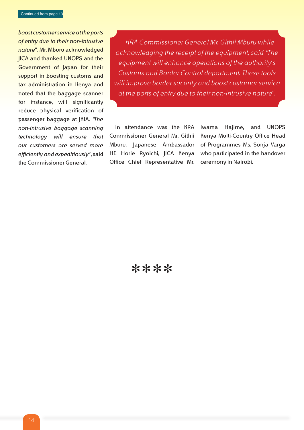*boost customer service at the ports of entry due to their non-intrusive nature".* Mr. Mburu acknowledged JICA and thanked UNOPS and the Government of Japan for their support in boosting customs and tax administration in Kenya and noted that the baggage scanner for instance, will significantly reduce physical verification of passenger baggage at JKIA. *"The non-intrusive baggage scanning technology will ensure that our customers are served more efficiently and expeditiously"*, said the Commissioner General.

*KRA Commissioner General Mr. Githii Mburu while acknowledging the receipt of the equipment, said "The equipment will enhance operations of the authority's Customs and Border Control department. These tools will improve border security and boost customer service at the ports of entry due to their non-intrusive nature".*

In attendance was the KRA Commissioner General Mr. Githii Mburu, Japanese Ambassador HE Horie Ryoichi, JICA Kenya Office Chief Representative Mr.

Iwama Hajime, and UNOPS Kenya Multi-Country Office Head of Programmes Ms. Sonja Varga who participated in the handover ceremony in Nairobi.

\*\*\*\*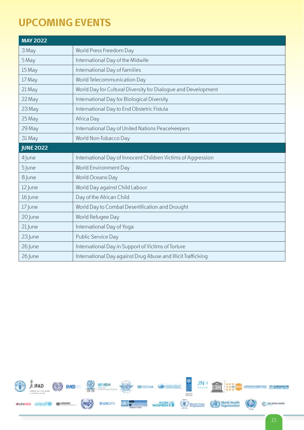### **UPCOMING EVENTS**

| <b>MAY 2022</b>  |                                                               |
|------------------|---------------------------------------------------------------|
| 3 May            | World Press Freedom Day                                       |
| 5 May            | International Day of the Midwife                              |
| 15 May           | International Day of Families                                 |
| 17 May           | World Telecommunication Day                                   |
| 21 May           | World Day for Cultural Diversity for Dialogue and Development |
| 22 May           | International Day for Biological Diversity                    |
| 23 May           | International Day to End Obstetric Fistula                    |
| 25 May           | Africa Day                                                    |
| 29 May           | International Day of United Nations Peacekeepers              |
| 31 May           | World Non-Tobacco Day                                         |
| <b>JUNE 2022</b> |                                                               |
| 4 June           | International Day of Innocent Children Victims of Aggression  |
| 5 June           | World Environment Day                                         |
| 8 June           | World Oceans Day                                              |
| 12 June          | World Day against Child Labour                                |
| 16 June          | Day of the African Child                                      |
| 17 June          | World Day to Combat Desertification and Drought               |
| 20 June          | World Refugee Day                                             |
| 21 June          | International Day of Yoga                                     |
| 23 June          | Public Service Day                                            |
| 26 June          | International Day in Support of Victims of Torture            |
| 26 June          | International Day against Drug Abuse and Illicit Trafficking  |

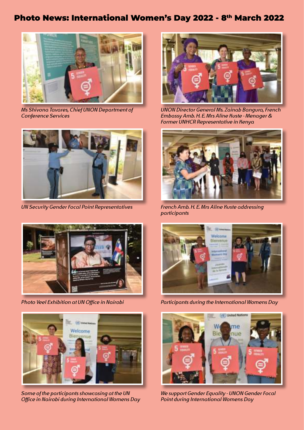### Photo News: International Women's Day 2022 - 8th March 2022



*Ms Shivona Tavares, Chief UNON Department of Conference Services*



*UN Security Gender Focal Point Representatives*



*Photo Veel Exhibition at UN Office in Nairobi*



*Some of the participants showcasing at the UN Office in Nairobi during International Womens Day*



*UNON Director General Ms. Zainab Bangura, French Embassy Amb. H. E. Mrs Aline Kuste - Menager & Former UNHCR Representative in Kenya*



*French Amb. H. E. Mrs Aline Kuste addressing participants*



*Participants during the International Womens Day*



*We support Gender Equality - UNON Gender Focal Point during International Womens Day*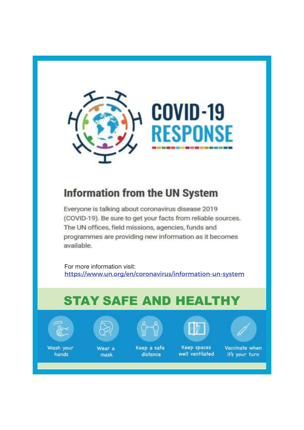

### Information from the UN System

Everyone is talking about coronavirus disease 2019 (COVID-19). Be sure to get your facts from reliable sources. The UN offices, field missions, agencies, funds and programmes are providing new information as it becomes available.

For more information visit: https://www.un.org/en/coronavirus/information-un-system

## STAY SAFE AND HEALTHY



Wash your hands



Wear a mask



Keep a safe distance

Keep spaces well ventilated



Vaccinate when It's your turn